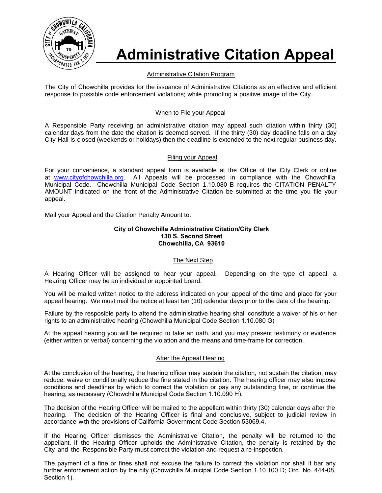

# **Administrative Citation Appeal**

# Administrative Citation Program

The City of Chowchilla provides for the issuance of Administrative Citations as an effective and efficient response to possible code enforcement violations; while promoting a positive image of the City.

## When to File your Appeal

A Responsible Party receiving an administrative citation may appeal such citation within thirty (30) calendar days from the date the citation is deemed served. If the thirty (30) day deadline falls on a day City Hall is closed (weekends or holidays) then the deadline is extended to the next regular business day.

# Filing your Appeal

For your convenience, a standard appeal form is available at the Office of the City Clerk or online at www.cityofchowchilla.org. All Appeals will be processed in compliance with the Chowchilla Municipal Code. Chowchilla Municipal Code Section 1.10.080 B requires the CITATION PENALTY AMOUNT indicated on the front of the Administrative Citation be submitted at the time you file your appeal.

[Mail your Appeal and the](http://www.palmsprings-ca.gov/index.aspx?page=40) Citation Penalty Amount to:

#### **City of Chowchilla Administrative Citation/City Clerk 130 S. Second Street Chowchilla, CA 93610**

## The Next Step

A Hearing Officer will be assigned to hear your appeal. Depending on the type of appeal, a Hearing Officer may be an individual or appointed board.

You will be mailed written notice to the address indicated on your appeal of the time and place for your appeal hearing. We must mail the notice at least ten (10) calendar days prior to the date of the hearing.

Failure by the resposible party to attend the administrative hearing shall constitute a waiver of his or her rights to an administrative hearing (Chowchilla Municipal Code Section 1.10.080 G)

At the appeal hearing you will be required to take an oath, and you may present testimony or evidence (either written or verbal) concerning the violation and the means and time-frame for correction.

## After the Appeal Hearing

At the conclusion of the hearing, the hearing officer may sustain the citation, not sustain the citation, may reduce, waive or conditionally reduce the fine stated in the citation. The hearing officer may also impose conditions and deadlines by which to correct the violation or pay any outstanding fine, or continue the hearing, as necessary (Chowchilla Municipal Code Section 1.10.090 H).

The decision of the Hearing Officer will be mailed to the appellant within thirty (30) calendar days after the hearing. The decision of the Hearing Officer is final and conclusive, subject to judicial review in accordance with the provisions of California Government Code Section 53069.4.

If the Hearing Officer dismisses the Administrative Citation, the penalty will be returned to the appellant. If the Hearing Officer upholds the Administrative Citation, the penalty is retained by the City and the Responsible Party must correct the violation and request a re-inspection.

The payment of a fine or fines shall not excuse the failure to correct the violation nor shall it bar any further enforcement action by the city (Chowchilla Municipal Code Section 1.10.100 D; Ord. No. 444-08, Section 1).